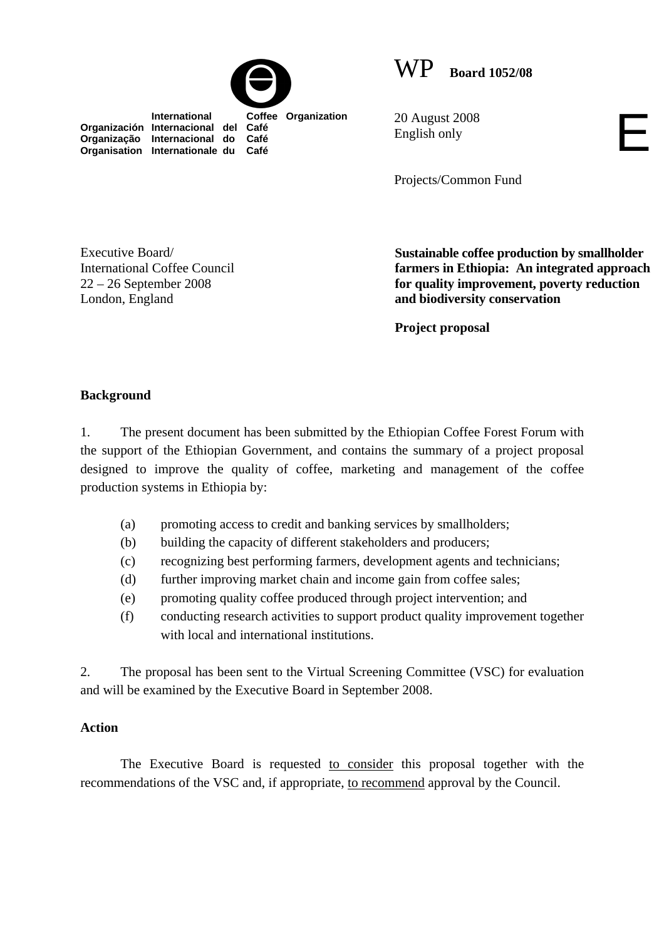



 **International Coffee Organization Organización Internacional del Café Organização Internacional do Café Organisation Internationale du Café**

20 August 2008 English only

Projects/Common Fund

Executive Board/ International Coffee Council 22 – 26 September 2008 London, England

**Sustainable coffee production by smallholder farmers in Ethiopia: An integrated approach for quality improvement, poverty reduction and biodiversity conservation** 

E

**Project proposal** 

## **Background**

1. The present document has been submitted by the Ethiopian Coffee Forest Forum with the support of the Ethiopian Government, and contains the summary of a project proposal designed to improve the quality of coffee, marketing and management of the coffee production systems in Ethiopia by:

- (a) promoting access to credit and banking services by smallholders;
- (b) building the capacity of different stakeholders and producers;
- (c) recognizing best performing farmers, development agents and technicians;
- (d) further improving market chain and income gain from coffee sales;
- (e) promoting quality coffee produced through project intervention; and
- (f) conducting research activities to support product quality improvement together with local and international institutions.

2. The proposal has been sent to the Virtual Screening Committee (VSC) for evaluation and will be examined by the Executive Board in September 2008.

## **Action**

The Executive Board is requested to consider this proposal together with the recommendations of the VSC and, if appropriate, to recommend approval by the Council.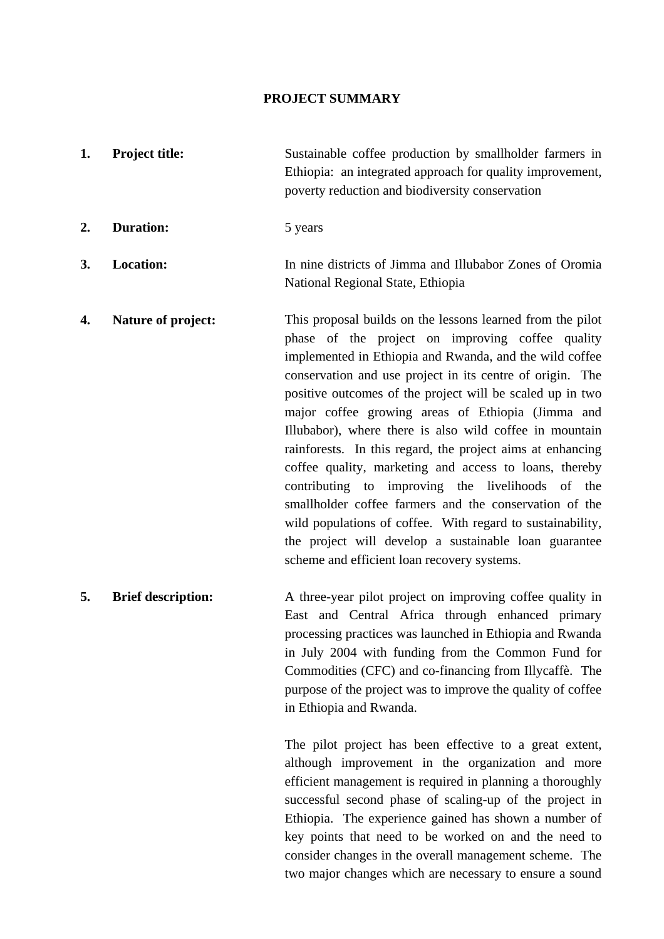## **PROJECT SUMMARY**

- **1.** Project title: Sustainable coffee production by smallholder farmers in Ethiopia: an integrated approach for quality improvement, poverty reduction and biodiversity conservation **2. Duration:** 5 years **3. Location:** In nine districts of Jimma and Illubabor Zones of Oromia National Regional State, Ethiopia **4.** Nature of project: This proposal builds on the lessons learned from the pilot
	- phase of the project on improving coffee quality implemented in Ethiopia and Rwanda, and the wild coffee conservation and use project in its centre of origin. The positive outcomes of the project will be scaled up in two major coffee growing areas of Ethiopia (Jimma and Illubabor), where there is also wild coffee in mountain rainforests. In this regard, the project aims at enhancing coffee quality, marketing and access to loans, thereby contributing to improving the livelihoods of the smallholder coffee farmers and the conservation of the wild populations of coffee. With regard to sustainability, the project will develop a sustainable loan guarantee scheme and efficient loan recovery systems.
- **5.** Brief description: A three-year pilot project on improving coffee quality in East and Central Africa through enhanced primary processing practices was launched in Ethiopia and Rwanda in July 2004 with funding from the Common Fund for Commodities (CFC) and co-financing from Illycaffè. The purpose of the project was to improve the quality of coffee in Ethiopia and Rwanda.

The pilot project has been effective to a great extent, although improvement in the organization and more efficient management is required in planning a thoroughly successful second phase of scaling-up of the project in Ethiopia. The experience gained has shown a number of key points that need to be worked on and the need to consider changes in the overall management scheme. The two major changes which are necessary to ensure a sound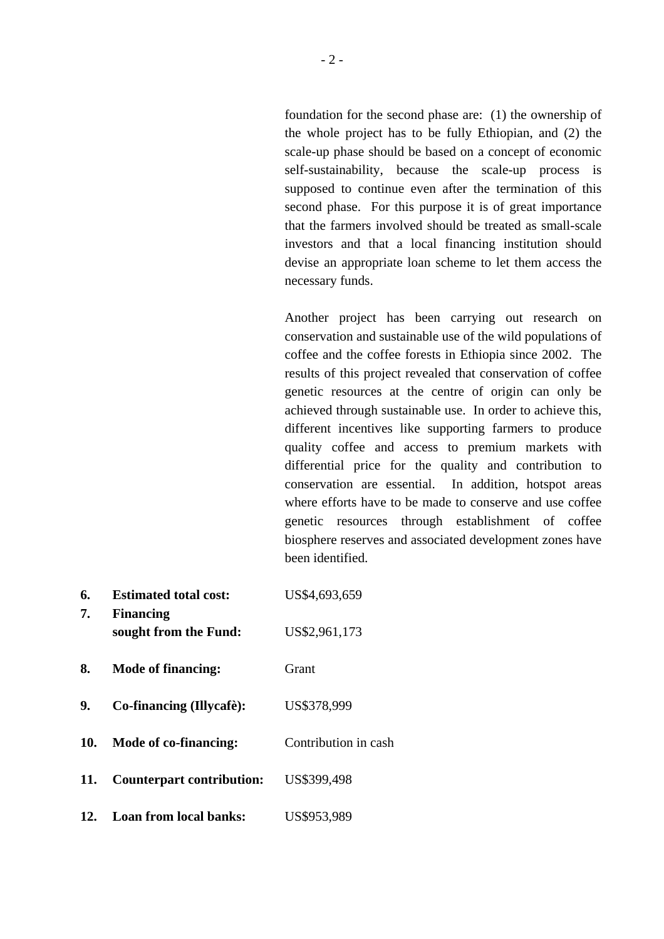foundation for the second phase are: (1) the ownership of the whole project has to be fully Ethiopian, and (2) the scale-up phase should be based on a concept of economic self-sustainability, because the scale-up process is supposed to continue even after the termination of this second phase. For this purpose it is of great importance that the farmers involved should be treated as small-scale investors and that a local financing institution should devise an appropriate loan scheme to let them access the necessary funds.

Another project has been carrying out research on conservation and sustainable use of the wild populations of coffee and the coffee forests in Ethiopia since 2002. The results of this project revealed that conservation of coffee genetic resources at the centre of origin can only be achieved through sustainable use. In order to achieve this, different incentives like supporting farmers to produce quality coffee and access to premium markets with differential price for the quality and contribution to conservation are essential. In addition, hotspot areas where efforts have to be made to conserve and use coffee genetic resources through establishment of coffee biosphere reserves and associated development zones have been identified.

| 6.<br>7. | <b>Estimated total cost:</b><br><b>Financing</b> | US\$4,693,659        |  |
|----------|--------------------------------------------------|----------------------|--|
|          | sought from the Fund:                            | US\$2,961,173        |  |
| 8.       | Mode of financing:                               | Grant                |  |
| 9.       | Co-financing (Illycafè):                         | US\$378,999          |  |
|          | 10. Mode of co-financing:                        | Contribution in cash |  |
| 11.      | <b>Counterpart contribution:</b>                 | US\$399,498          |  |
|          | 12. Loan from local banks:                       | US\$953,989          |  |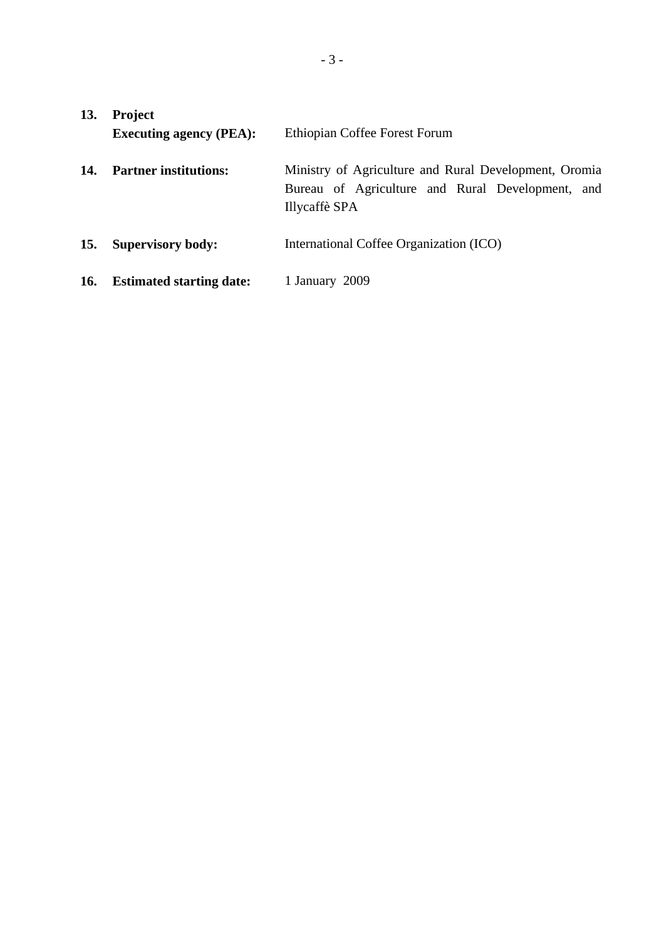| 13. | <b>Project</b><br><b>Executing agency (PEA):</b> | Ethiopian Coffee Forest Forum                                                                                              |  |
|-----|--------------------------------------------------|----------------------------------------------------------------------------------------------------------------------------|--|
| 14. | <b>Partner institutions:</b>                     | Ministry of Agriculture and Rural Development, Oromia<br>Bureau of Agriculture and Rural Development, and<br>Illycaffè SPA |  |
| 15. | <b>Supervisory body:</b>                         | International Coffee Organization (ICO)                                                                                    |  |
| 16. | <b>Estimated starting date:</b>                  | 1 January 2009                                                                                                             |  |